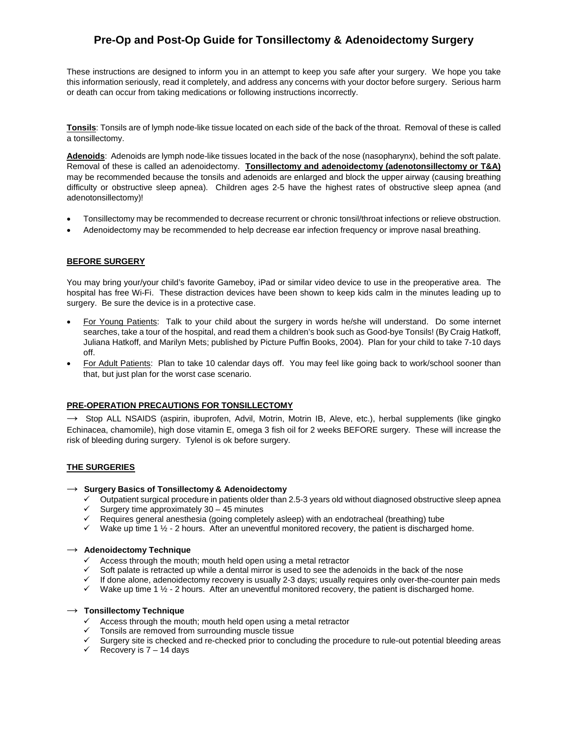These instructions are designed to inform you in an attempt to keep you safe after your surgery. We hope you take this information seriously, read it completely, and address any concerns with your doctor before surgery. Serious harm or death can occur from taking medications or following instructions incorrectly.

**Tonsils**: Tonsils are of lymph node-like tissue located on each side of the back of the throat. Removal of these is called a tonsillectomy.

**Adenoids**: Adenoids are lymph node-like tissues located in the back of the nose (nasopharynx), behind the soft palate. Removal of these is called an adenoidectomy. **Tonsillectomy and adenoidectomy (adenotonsillectomy or T&A)** may be recommended because the tonsils and adenoids are enlarged and block the upper airway (causing breathing difficulty or obstructive sleep apnea). Children ages 2-5 have the highest rates of obstructive sleep apnea (and adenotonsillectomy)!

- Tonsillectomy may be recommended to decrease recurrent or chronic tonsil/throat infections or relieve obstruction.
- Adenoidectomy may be recommended to help decrease ear infection frequency or improve nasal breathing.

## **BEFORE SURGERY**

You may bring your/your child's favorite Gameboy, iPad or similar video device to use in the preoperative area. The hospital has free Wi-Fi. These distraction devices have been shown to keep kids calm in the minutes leading up to surgery. Be sure the device is in a protective case.

- For Young Patients: Talk to your child about the surgery in words he/she will understand. Do some internet searches, take a tour of the hospital, and read them a children's book such as Good-bye Tonsils! (By Craig Hatkoff, Juliana Hatkoff, and Marilyn Mets; published by Picture Puffin Books, 2004). Plan for your child to take 7-10 days off.
- For Adult Patients: Plan to take 10 calendar days off. You may feel like going back to work/school sooner than that, but just plan for the worst case scenario.

#### **PRE-OPERATION PRECAUTIONS FOR TONSILLECTOMY**

 $\rightarrow$  Stop ALL NSAIDS (aspirin, ibuprofen, Advil, Motrin, Motrin IB, Aleve, etc.), herbal supplements (like gingko Echinacea, chamomile), high dose vitamin E, omega 3 fish oil for 2 weeks BEFORE surgery. These will increase the risk of bleeding during surgery. Tylenol is ok before surgery.

## **THE SURGERIES**

#### → **Surgery Basics of Tonsillectomy & Adenoidectomy**

- $\checkmark$  Outpatient surgical procedure in patients older than 2.5-3 years old without diagnosed obstructive sleep apnea
- $\checkmark$  Surgery time approximately 30 45 minutes
- $\checkmark$  Requires general anesthesia (going completely asleep) with an endotracheal (breathing) tube
- $\checkmark$  Wake up time 1 ½ 2 hours. After an uneventful monitored recovery, the patient is discharged home.

#### → **Adenoidectomy Technique**

- $\checkmark$  Access through the mouth; mouth held open using a metal retractor
- $\checkmark$  Soft palate is retracted up while a dental mirror is used to see the adenoids in the back of the nose
- $\checkmark$  If done alone, adenoidectomy recovery is usually 2-3 days; usually requires only over-the-counter pain meds
- $\checkmark$  Wake up time 1  $\frac{1}{2}$  2 hours. After an uneventful monitored recovery, the patient is discharged home.

#### → **Tonsillectomy Technique**

- $\checkmark$  Access through the mouth; mouth held open using a metal retractor
- Tonsils are removed from surrounding muscle tissue
- Surgery site is checked and re-checked prior to concluding the procedure to rule-out potential bleeding areas
- $\checkmark$  Recovery is 7 14 days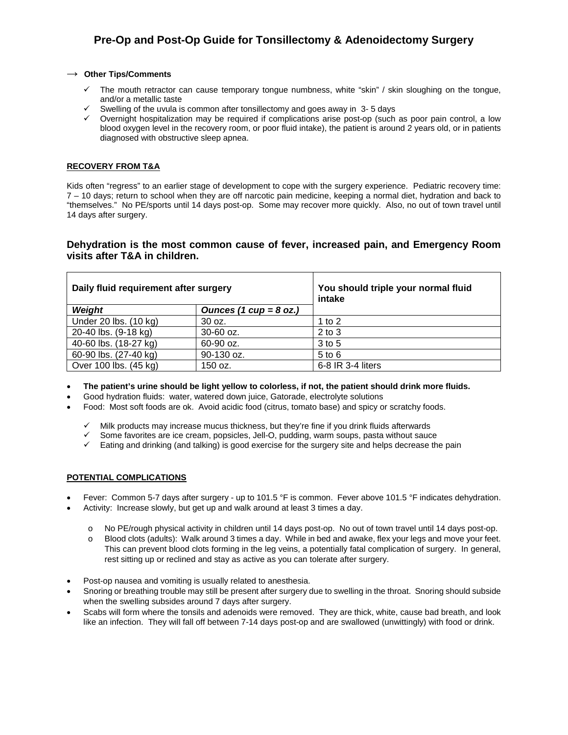### → **Other Tips/Comments**

- $\checkmark$  The mouth retractor can cause temporary tongue numbness, white "skin" / skin sloughing on the tongue, and/or a metallic taste
- $\checkmark$  Swelling of the uvula is common after tonsillectomy and goes away in 3-5 days
- $\checkmark$  Overnight hospitalization may be required if complications arise post-op (such as poor pain control, a low blood oxygen level in the recovery room, or poor fluid intake), the patient is around 2 years old, or in patients diagnosed with obstructive sleep apnea.

## **RECOVERY FROM T&A**

Kids often "regress" to an earlier stage of development to cope with the surgery experience. Pediatric recovery time: 7 – 10 days; return to school when they are off narcotic pain medicine, keeping a normal diet, hydration and back to "themselves." No PE/sports until 14 days post-op. Some may recover more quickly. Also, no out of town travel until 14 days after surgery.

## **Dehydration is the most common cause of fever, increased pain, and Emergency Room visits after T&A in children.**

| Daily fluid requirement after surgery |                          | You should triple your normal fluid<br>intake |  |
|---------------------------------------|--------------------------|-----------------------------------------------|--|
| Weight                                | Ounces (1 $cup = 8$ oz.) |                                               |  |
| Under 20 lbs. (10 kg)                 | 30 oz.                   | 1 to $2$                                      |  |
| 20-40 lbs. (9-18 kg)                  | 30-60 oz.                | $2$ to $3$                                    |  |
| 40-60 lbs. (18-27 kg)                 | 60-90 oz.                | 3 to 5                                        |  |
| 60-90 lbs. (27-40 kg)                 | 90-130 oz.               | $5$ to $6$                                    |  |
| Over 100 lbs. (45 kg)                 | 150 oz.                  | $6-8$ IR 3-4 liters                           |  |

- **The patient's urine should be light yellow to colorless, if not, the patient should drink more fluids.**
- Good hydration fluids: water, watered down juice, Gatorade, electrolyte solutions
- Food: Most soft foods are ok. Avoid acidic food (citrus, tomato base) and spicy or scratchy foods.
	- $\checkmark$  Milk products may increase mucus thickness, but they're fine if you drink fluids afterwards
	- $\checkmark$  Some favorites are ice cream, popsicles, Jell-O, pudding, warm soups, pasta without sauce
	- $\checkmark$  Eating and drinking (and talking) is good exercise for the surgery site and helps decrease the pain

## **POTENTIAL COMPLICATIONS**

- Fever: Common 5-7 days after surgery up to 101.5 °F is common. Fever above 101.5 °F indicates dehydration.
- Activity: Increase slowly, but get up and walk around at least 3 times a day.
	- o No PE/rough physical activity in children until 14 days post-op. No out of town travel until 14 days post-op.
	- o Blood clots (adults): Walk around 3 times a day. While in bed and awake, flex your legs and move your feet. This can prevent blood clots forming in the leg veins, a potentially fatal complication of surgery. In general, rest sitting up or reclined and stay as active as you can tolerate after surgery.
- Post-op nausea and vomiting is usually related to anesthesia.
- Snoring or breathing trouble may still be present after surgery due to swelling in the throat. Snoring should subside when the swelling subsides around 7 days after surgery.
- Scabs will form where the tonsils and adenoids were removed. They are thick, white, cause bad breath, and look like an infection. They will fall off between 7-14 days post-op and are swallowed (unwittingly) with food or drink.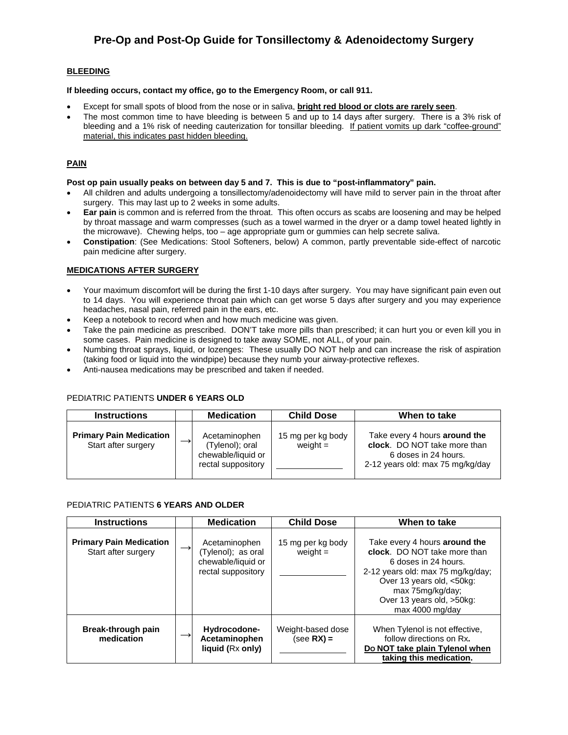## **BLEEDING**

#### **If bleeding occurs, contact my office, go to the Emergency Room, or call 911.**

- Except for small spots of blood from the nose or in saliva, **bright red blood or clots are rarely seen**.
- The most common time to have bleeding is between 5 and up to 14 days after surgery. There is a 3% risk of bleeding and a 1% risk of needing cauterization for tonsillar bleeding. If patient vomits up dark "coffee-ground" material, this indicates past hidden bleeding.

## **PAIN**

#### **Post op pain usually peaks on between day 5 and 7. This is due to "post-inflammatory" pain.**

- All children and adults undergoing a tonsillectomy/adenoidectomy will have mild to server pain in the throat after surgery. This may last up to 2 weeks in some adults.
- **Ear pain** is common and is referred from the throat. This often occurs as scabs are loosening and may be helped by throat massage and warm compresses (such as a towel warmed in the dryer or a damp towel heated lightly in the microwave). Chewing helps, too – age appropriate gum or gummies can help secrete saliva.
- **Constipation**: (See Medications: Stool Softeners, below) A common, partly preventable side-effect of narcotic pain medicine after surgery.

### **MEDICATIONS AFTER SURGERY**

- Your maximum discomfort will be during the first 1-10 days after surgery. You may have significant pain even out to 14 days. You will experience throat pain which can get worse 5 days after surgery and you may experience headaches, nasal pain, referred pain in the ears, etc.
- Keep a notebook to record when and how much medicine was given.
- Take the pain medicine as prescribed. DON'T take more pills than prescribed; it can hurt you or even kill you in some cases. Pain medicine is designed to take away SOME, not ALL, of your pain.
- Numbing throat sprays, liquid, or lozenges: These usually DO NOT help and can increase the risk of aspiration (taking food or liquid into the windpipe) because they numb your airway-protective reflexes.
- Anti-nausea medications may be prescribed and taken if needed.

## PEDIATRIC PATIENTS **UNDER 6 YEARS OLD**

| <b>Instructions</b>                                   | <b>Medication</b>                                                            | <b>Child Dose</b>               | When to take                                                                                                              |
|-------------------------------------------------------|------------------------------------------------------------------------------|---------------------------------|---------------------------------------------------------------------------------------------------------------------------|
| <b>Primary Pain Medication</b><br>Start after surgery | Acetaminophen<br>(Tylenol); oral<br>chewable/liquid or<br>rectal suppository | 15 mg per kg body<br>weight $=$ | Take every 4 hours around the<br>clock. DO NOT take more than<br>6 doses in 24 hours.<br>2-12 years old: max 75 mg/kg/day |

### PEDIATRIC PATIENTS **6 YEARS AND OLDER**

| <b>Instructions</b>                                   | <b>Medication</b>                                                               | <b>Child Dose</b>                 | When to take                                                                                                                                                                                                                |
|-------------------------------------------------------|---------------------------------------------------------------------------------|-----------------------------------|-----------------------------------------------------------------------------------------------------------------------------------------------------------------------------------------------------------------------------|
| <b>Primary Pain Medication</b><br>Start after surgery | Acetaminophen<br>(Tylenol); as oral<br>chewable/liquid or<br>rectal suppository | 15 mg per kg body<br>weight $=$   | Take every 4 hours around the<br>clock. DO NOT take more than<br>6 doses in 24 hours.<br>2-12 years old: max 75 mg/kg/day;<br>Over 13 years old, <50kg:<br>max 75mg/kg/day;<br>Over 13 years old, >50kg:<br>max 4000 mg/day |
| Break-through pain<br>medication                      | Hydrocodone-<br>Acetaminophen<br>liquid (Rx only)                               | Weight-based dose<br>$(see RX) =$ | When Tylenol is not effective,<br>follow directions on Rx.<br>Do NOT take plain Tylenol when<br>taking this medication.                                                                                                     |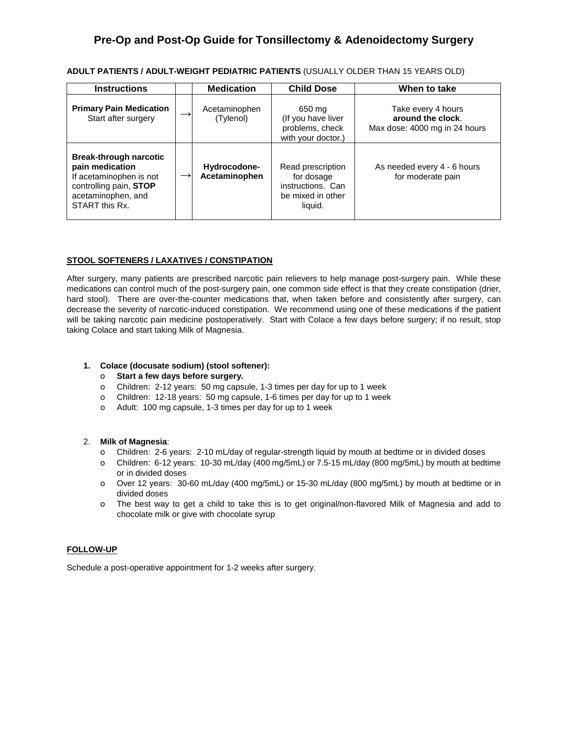| <b>ADULT PATIENTS / ADULT-WEIGHT PEDIATRIC PATIENTS</b> (USUALLY OLDER THAN 15 YEARS OLD) |  |
|-------------------------------------------------------------------------------------------|--|
|-------------------------------------------------------------------------------------------|--|

| <b>Instructions</b>                                                                                                                           |               | <b>Medication</b>             | <b>Child Dose</b>                                                                    | When to take                                                             |
|-----------------------------------------------------------------------------------------------------------------------------------------------|---------------|-------------------------------|--------------------------------------------------------------------------------------|--------------------------------------------------------------------------|
| <b>Primary Pain Medication</b><br>Start after surgery                                                                                         |               | Acetaminophen<br>(Tylenol)    | 650 mg<br>(If you have liver<br>problems, check<br>with your doctor.)                | Take every 4 hours<br>around the clock.<br>Max dose: 4000 mg in 24 hours |
| <b>Break-through narcotic</b><br>pain medication<br>If acetaminophen is not<br>controlling pain, STOP<br>acetaminophen, and<br>START this Rx. | $\rightarrow$ | Hydrocodone-<br>Acetaminophen | Read prescription<br>for dosage<br>instructions. Can<br>be mixed in other<br>liquid. | As needed every 4 - 6 hours<br>for moderate pain                         |

### **STOOL SOFTENERS / LAXATIVES / CONSTIPATION**

After surgery, many patients are prescribed narcotic pain relievers to help manage post-surgery pain. While these medications can control much of the post-surgery pain, one common side effect is that they create constipation (drier, hard stool). There are over-the-counter medications that, when taken before and consistently after surgery, can decrease the severity of narcotic-induced constipation. We recommend using one of these medications if the patient will be taking narcotic pain medicine postoperatively. Start with Colace a few days before surgery; if no result, stop taking Colace and start taking Milk of Magnesia.

### **1. Colace (docusate sodium) (stool softener):**

#### o **Start a few days before surgery.**

- o Children: 2-12 years: 50 mg capsule, 1-3 times per day for up to 1 week
- o Children: 12-18 years: 50 mg capsule, 1-6 times per day for up to 1 week
- o Adult: 100 mg capsule, 1-3 times per day for up to 1 week

#### 2. **Milk of Magnesia**:

- o Children: 2-6 years: 2-10 mL/day of regular-strength liquid by mouth at bedtime or in divided doses
- o Children: 6-12 years: 10-30 mL/day (400 mg/5mL) or 7.5-15 mL/day (800 mg/5mL) by mouth at bedtime or in divided doses
- o Over 12 years: 30-60 mL/day (400 mg/5mL) or 15-30 mL/day (800 mg/5mL) by mouth at bedtime or in divided doses
- o The best way to get a child to take this is to get original/non-flavored Milk of Magnesia and add to chocolate milk or give with chocolate syrup

#### **FOLLOW-UP**

Schedule a post-operative appointment for 1-2 weeks after surgery.